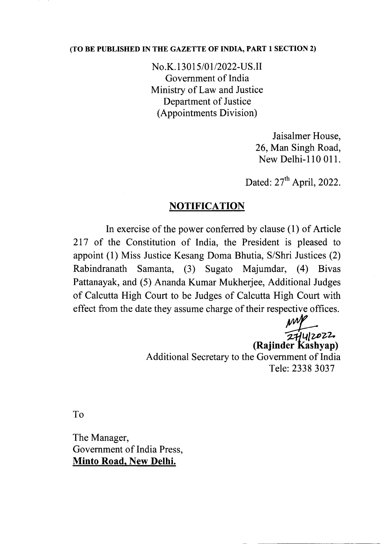## (TO BE PUBLISHED IN THE GAZETTE OF INDIA, PART 1 SECTION 2)

No.K.13015/01/2022-US.II Government of India Ministry of Law and Justice Department of Justice (Appointments Division)

> Jaisalmer House, 26, Man Singh Road, New Delhi-ll0 011.

Dated:  $27<sup>th</sup>$  April, 2022.

## **NOTIFICATION**

In exercise of the power conferred by clause (1) of Article 217 of the Constitution of India, the President is pleased to appoint (1) Miss Justice Kesang Doma Bhutia, S/Shri Justices (2) Rabindranath Samanta, (3) Sugato Majumdar, (4) Bivas Pattanayak, and (5) Ananda Kumar Mukherjee, Additional Judges of Calcutta High Court to be Judges of Calcutta High Court with effect from the date they assume charge of their respective offices.

> $27442022$ (Rajinder Kashyap) Additional Secretary to the Government of India Tele: 2338 3037

To

The Manager, Government of India Press, Minto Road, New Delhi.

- ------